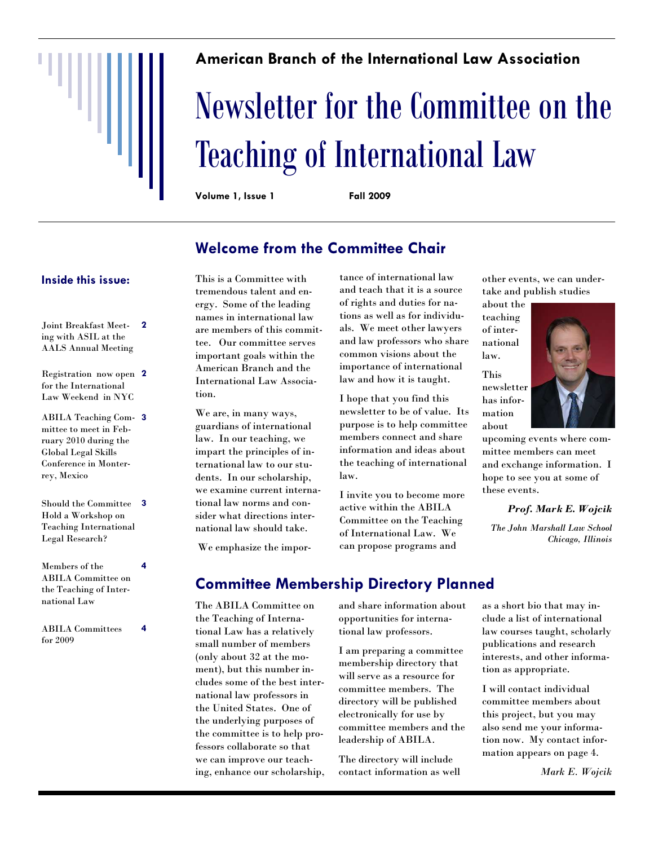#### **American Branch of the International Law Association**

# Newsletter for the Committee on the Teaching of International Law

**Volume 1, Issue 1 Fall 2009** 

### **Welcome from the Committee Chair**

#### **Inside this issue:**

- Joint Breakfast Meet-**2**  ing with ASIL at the AALS Annual Meeting
- Registration now open **2**  for the International Law Weekend in NYC
- ABILA Teaching Com-**3**  mittee to meet in February 2010 during the Global Legal Skills Conference in Monterrey, Mexico
- Should the Committee **3**  Hold a Workshop on Teaching International Legal Research?
- Members of the ABILA Committee on the Teaching of International Law **4**
- ABILA Committees for 2009

**4** 

This is a Committee with tremendous talent and energy. Some of the leading names in international law are members of this committee. Our committee serves important goals within the American Branch and the International Law Association.

We are, in many ways, guardians of international law. In our teaching, we impart the principles of international law to our students. In our scholarship, we examine current international law norms and consider what directions international law should take.

tance of international law and teach that it is a source of rights and duties for nations as well as for individuals. We meet other lawyers and law professors who share common visions about the importance of international law and how it is taught.

I hope that you find this newsletter to be of value. Its purpose is to help committee members connect and share information and ideas about the teaching of international law.

I invite you to become more active within the ABILA Committee on the Teaching of International Law. We can propose programs and

other events, we can undertake and publish studies

about the teaching of international law.

This newsletter has information about



upcoming events where committee members can meet and exchange information. I hope to see you at some of these events.

*Prof. Mark E. Wojcik* 

*The John Marshall Law School Chicago, Illinois* 

We emphasize the impor-

### **Committee Membership Directory Planned**

The ABILA Committee on the Teaching of International Law has a relatively small number of members (only about 32 at the moment), but this number includes some of the best international law professors in the United States. One of the underlying purposes of the committee is to help professors collaborate so that we can improve our teaching, enhance our scholarship,

and share information about opportunities for international law professors.

I am preparing a committee membership directory that will serve as a resource for committee members. The directory will be published electronically for use by committee members and the leadership of ABILA.

The directory will include contact information as well

as a short bio that may include a list of international law courses taught, scholarly publications and research interests, and other information as appropriate.

I will contact individual committee members about this project, but you may also send me your information now. My contact information appears on page 4.

*Mark E. Wojcik*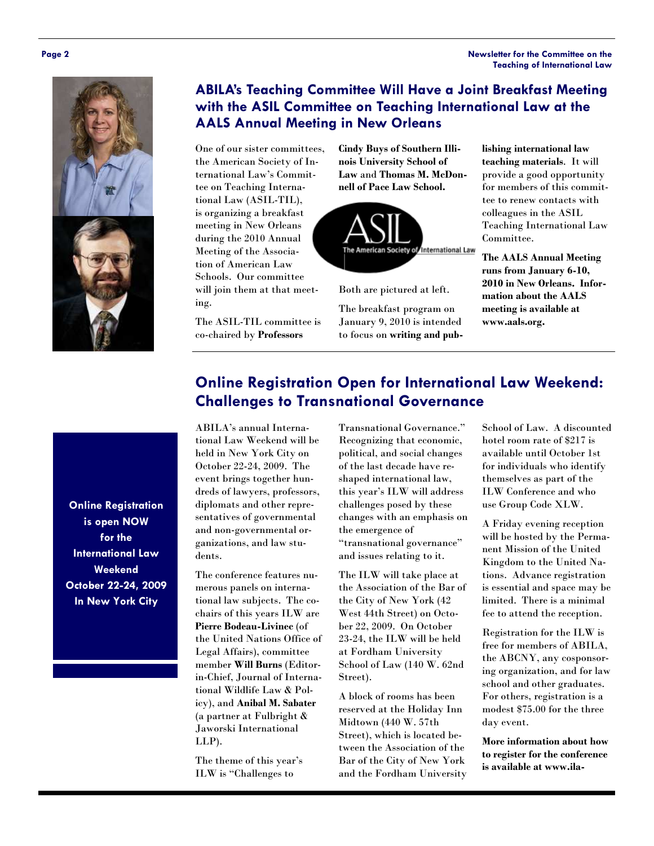#### **Page 2 Newsletter for the Committee on the Teaching of International Law**



#### **ABILA's Teaching Committee Will Have a Joint Breakfast Meeting with the ASIL Committee on Teaching International Law at the AALS Annual Meeting in New Orleans**

One of our sister committees, the American Society of International Law's Committee on Teaching International Law (ASIL-TIL), is organizing a breakfast meeting in New Orleans during the 2010 Annual Meeting of the Association of American Law Schools. Our committee will join them at that meeting.

The ASIL-TIL committee is co-chaired by **Professors** 

**Cindy Buys of Southern Illinois University School of Law** and **Thomas M. McDonnell of Pace Law School.** 



Both are pictured at left.

The breakfast program on January 9, 2010 is intended to focus on **writing and pub-** **lishing international law teaching materials**. It will provide a good opportunity for members of this committee to renew contacts with colleagues in the ASIL Teaching International Law Committee.

**The AALS Annual Meeting runs from January 6-10, 2010 in New Orleans. Information about the AALS meeting is available at www.aals.org.** 

#### **Online Registration Open for International Law Weekend: Challenges to Transnational Governance**

ABILA's annual International Law Weekend will be held in New York City on October 22-24, 2009. The event brings together hundreds of lawyers, professors, diplomats and other representatives of governmental and non-governmental organizations, and law students.

The conference features numerous panels on international law subjects. The cochairs of this years ILW are **Pierre Bodeau-Livinec** (of the United Nations Office of Legal Affairs), committee member **Will Burns** (Editorin-Chief, Journal of International Wildlife Law & Policy), and **Anibal M. Sabater**  (a partner at Fulbright & Jaworski International LLP).

The theme of this year's ILW is "Challenges to

Transnational Governance." Recognizing that economic, political, and social changes of the last decade have reshaped international law, this year's ILW will address challenges posed by these changes with an emphasis on the emergence of "transnational governance" and issues relating to it.

The ILW will take place at the Association of the Bar of the City of New York (42 West 44th Street) on October 22, 2009. On October 23-24, the ILW will be held at Fordham University School of Law (140 W. 62nd Street).

A block of rooms has been reserved at the Holiday Inn Midtown (440 W. 57th Street), which is located between the Association of the Bar of the City of New York and the Fordham University

School of Law. A discounted hotel room rate of \$217 is available until October 1st for individuals who identify themselves as part of the ILW Conference and who use Group Code XLW.

A Friday evening reception will be hosted by the Permanent Mission of the United Kingdom to the United Nations. Advance registration is essential and space may be limited. There is a minimal fee to attend the reception.

Registration for the ILW is free for members of ABILA, the ABCNY, any cosponsoring organization, and for law school and other graduates. For others, registration is a modest \$75.00 for the three day event.

**More information about how to register for the conference is available at www.ila-**

**Online Registration is open NOW for the International Law Weekend October 22-24, 2009 In New York City**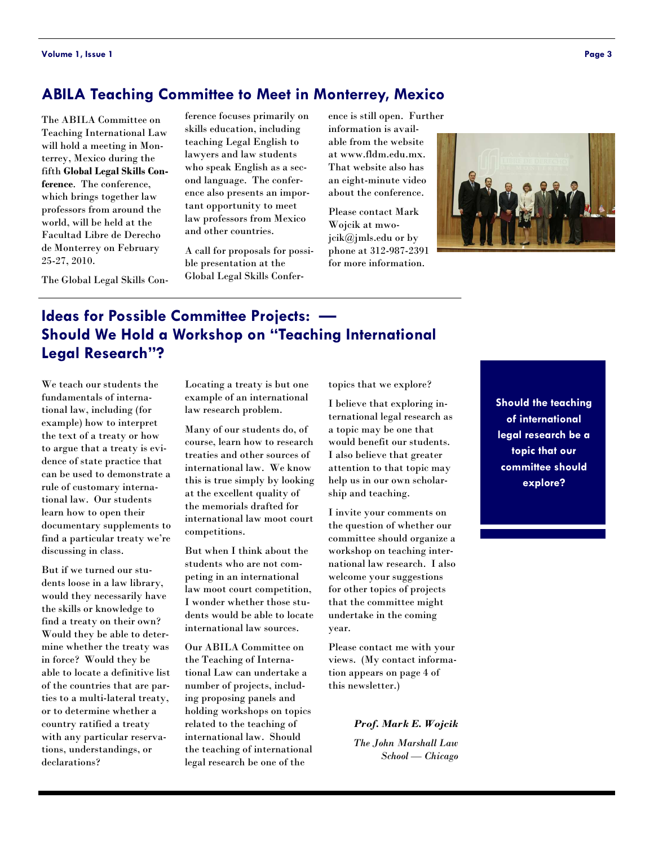#### **ABILA Teaching Committee to Meet in Monterrey, Mexico**

The ABILA Committee on Teaching International Law will hold a meeting in Monterrey, Mexico during the fifth **Global Legal Skills Conference**. The conference, which brings together law professors from around the world, will be held at the Facultad Libre de Derecho de Monterrey on February 25-27, 2010.

The Global Legal Skills Con-

ference focuses primarily on skills education, including teaching Legal English to lawyers and law students who speak English as a second language. The conference also presents an important opportunity to meet law professors from Mexico and other countries.

A call for proposals for possible presentation at the Global Legal Skills Confer-

ence is still open. Further information is available from the website at www.fldm.edu.mx. That website also has an eight-minute video about the conference.

Please contact Mark Wojcik at mwojcik@jmls.edu or by phone at 312-987-2391 for more information.



#### **Ideas for Possible Committee Projects: — Should We Hold a Workshop on "Teaching International Legal Research"?**

We teach our students the fundamentals of international law, including (for example) how to interpret the text of a treaty or how to argue that a treaty is evidence of state practice that can be used to demonstrate a rule of customary international law. Our students learn how to open their documentary supplements to find a particular treaty we're discussing in class.

But if we turned our students loose in a law library, would they necessarily have the skills or knowledge to find a treaty on their own? Would they be able to determine whether the treaty was in force? Would they be able to locate a definitive list of the countries that are parties to a multi-lateral treaty, or to determine whether a country ratified a treaty with any particular reservations, understandings, or declarations?

Locating a treaty is but one example of an international law research problem.

Many of our students do, of course, learn how to research treaties and other sources of international law. We know this is true simply by looking at the excellent quality of the memorials drafted for international law moot court competitions.

But when I think about the students who are not competing in an international law moot court competition, I wonder whether those students would be able to locate international law sources.

Our ABILA Committee on the Teaching of International Law can undertake a number of projects, including proposing panels and holding workshops on topics related to the teaching of international law. Should the teaching of international legal research be one of the

topics that we explore?

I believe that exploring international legal research as a topic may be one that would benefit our students. I also believe that greater attention to that topic may help us in our own scholarship and teaching.

I invite your comments on the question of whether our committee should organize a workshop on teaching international law research. I also welcome your suggestions for other topics of projects that the committee might undertake in the coming year.

Please contact me with your views. (My contact information appears on page 4 of this newsletter.)

> *Prof. Mark E. Wojcik The John Marshall Law School — Chicago*

**Should the teaching of international legal research be a topic that our committee should explore?**